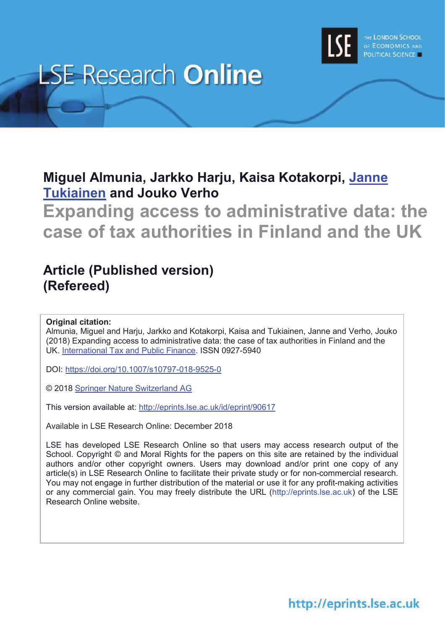

# **LSE Research Online**

# **Miguel Almunia, Jarkko Harju, Kaisa Kotakorpi, Janne Tukiainen and Jouko Verho**

**Expanding access to administrative data: the case of tax authorities in Finland and the UK**

# **Article (Published version) (Refereed)**

# **Original citation:**

Almunia, Miguel and Harju, Jarkko and Kotakorpi, Kaisa and Tukiainen, Janne and Verho, Jouko (2018) Expanding access to administrative data: the case of tax authorities in Finland and the UK. International Tax and Public Finance. ISSN 0927-5940

DOI: https://doi.org/10.1007/s10797-018-9525-0

© 2018 Springer Nature Switzerland AG

This version available at: http://eprints.lse.ac.uk/id/eprint/90617

Available in LSE Research Online: December 2018

LSE has developed LSE Research Online so that users may access research output of the School. Copyright © and Moral Rights for the papers on this site are retained by the individual authors and/or other copyright owners. Users may download and/or print one copy of any article(s) in LSE Research Online to facilitate their private study or for non-commercial research. You may not engage in further distribution of the material or use it for any profit-making activities or any commercial gain. You may freely distribute the URL (http://eprints.lse.ac.uk) of the LSE Research Online website.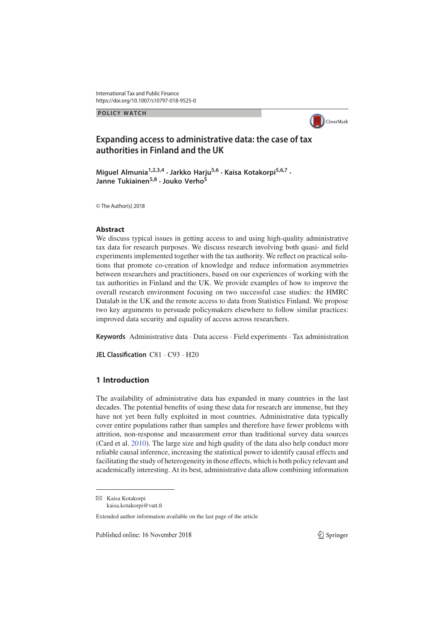International Tax and Public Finance https://doi.org/10.1007/s10797-018-9525-0

**POLICY WATCH** 



# **Expanding access to administrative data: the case of tax authorities in Finland and the UK**

**Miguel Almunia1,2,3,4** · **Jarkko Harju5,6** · **Kaisa Kotakorpi5,6,7** · **Janne Tukiainen5,8** · **Jouko Verho<sup>5</sup>**

© The Author(s) 2018

#### **Abstract**

We discuss typical issues in getting access to and using high-quality administrative tax data for research purposes. We discuss research involving both quasi- and field experiments implemented together with the tax authority. We reflect on practical solutions that promote co-creation of knowledge and reduce information asymmetries between researchers and practitioners, based on our experiences of working with the tax authorities in Finland and the UK. We provide examples of how to improve the overall research environment focusing on two successful case studies: the HMRC Datalab in the UK and the remote access to data from Statistics Finland. We propose two key arguments to persuade policymakers elsewhere to follow similar practices: improved data security and equality of access across researchers.

**Keywords** Administrative data · Data access · Field experiments · Tax administration

**JEL Classification** C81 · C93 · H20

# **1 Introduction**

The availability of administrative data has expanded in many countries in the last decades. The potential benefits of using these data for research are immense, but they have not yet been fully exploited in most countries. Administrative data typically cover entire populations rather than samples and therefore have fewer problems with attrition, non-response and measurement error than traditional survey data sources (Card et al. 2010). The large size and high quality of the data also help conduct more reliable causal inference, increasing the statistical power to identify causal effects and facilitating the study of heterogeneity in those effects, which is both policy relevant and academically interesting. At its best, administrative data allow combining information

Published online: 16 November 2018

B Kaisa Kotakorpi kaisa.kotakorpi@vatt.fi

Extended author information available on the last page of the article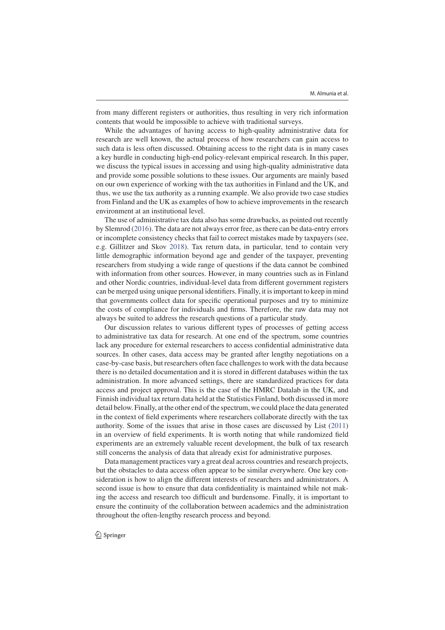from many different registers or authorities, thus resulting in very rich information contents that would be impossible to achieve with traditional surveys.

While the advantages of having access to high-quality administrative data for research are well known, the actual process of how researchers can gain access to such data is less often discussed. Obtaining access to the right data is in many cases a key hurdle in conducting high-end policy-relevant empirical research. In this paper, we discuss the typical issues in accessing and using high-quality administrative data and provide some possible solutions to these issues. Our arguments are mainly based on our own experience of working with the tax authorities in Finland and the UK, and thus, we use the tax authority as a running example. We also provide two case studies from Finland and the UK as examples of how to achieve improvements in the research environment at an institutional level.

The use of administrative tax data also has some drawbacks, as pointed out recently by Slemrod (2016). The data are not always error free, as there can be data-entry errors or incomplete consistency checks that fail to correct mistakes made by taxpayers (see, e.g. Gillitzer and Skov 2018). Tax return data, in particular, tend to contain very little demographic information beyond age and gender of the taxpayer, preventing researchers from studying a wide range of questions if the data cannot be combined with information from other sources. However, in many countries such as in Finland and other Nordic countries, individual-level data from different government registers can be merged using unique personal identifiers. Finally, it is important to keep in mind that governments collect data for specific operational purposes and try to minimize the costs of compliance for individuals and firms. Therefore, the raw data may not always be suited to address the research questions of a particular study.

Our discussion relates to various different types of processes of getting access to administrative tax data for research. At one end of the spectrum, some countries lack any procedure for external researchers to access confidential administrative data sources. In other cases, data access may be granted after lengthy negotiations on a case-by-case basis, but researchers often face challengesto work with the data because there is no detailed documentation and it is stored in different databases within the tax administration. In more advanced settings, there are standardized practices for data access and project approval. This is the case of the HMRC Datalab in the UK, and Finnish individual tax return data held at the Statistics Finland, both discussed in more detail below. Finally, at the other end of the spectrum, we could place the data generated in the context of field experiments where researchers collaborate directly with the tax authority. Some of the issues that arise in those cases are discussed by List (2011) in an overview of field experiments. It is worth noting that while randomized field experiments are an extremely valuable recent development, the bulk of tax research still concerns the analysis of data that already exist for administrative purposes.

Data management practices vary a great deal across countries and research projects, but the obstacles to data access often appear to be similar everywhere. One key consideration is how to align the different interests of researchers and administrators. A second issue is how to ensure that data confidentiality is maintained while not making the access and research too difficult and burdensome. Finally, it is important to ensure the continuity of the collaboration between academics and the administration throughout the often-lengthy research process and beyond.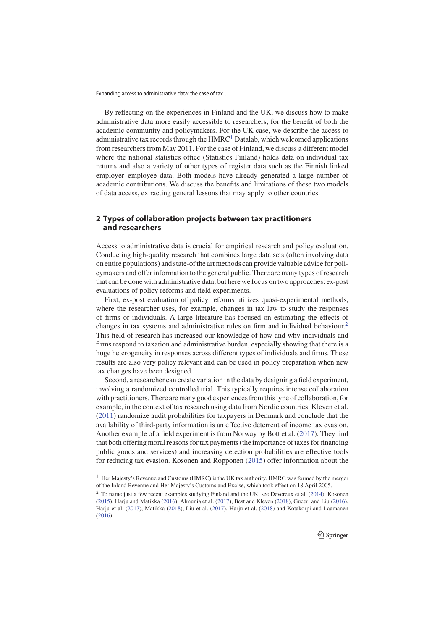By reflecting on the experiences in Finland and the UK, we discuss how to make administrative data more easily accessible to researchers, for the benefit of both the academic community and policymakers. For the UK case, we describe the access to administrative tax records through the  $HMRC<sup>1</sup>$  Datalab, which welcomed applications from researchers from May 2011. For the case of Finland, we discuss a different model where the national statistics office (Statistics Finland) holds data on individual tax returns and also a variety of other types of register data such as the Finnish linked employer–employee data. Both models have already generated a large number of academic contributions. We discuss the benefits and limitations of these two models of data access, extracting general lessons that may apply to other countries.

## **2 Types of collaboration projects between tax practitioners and researchers**

Access to administrative data is crucial for empirical research and policy evaluation. Conducting high-quality research that combines large data sets (often involving data on entire populations) and state-of the art methods can provide valuable advice for policymakers and offer information to the general public. There are many types of research that can be done with administrative data, but here we focus on two approaches: ex-post evaluations of policy reforms and field experiments.

First, ex-post evaluation of policy reforms utilizes quasi-experimental methods, where the researcher uses, for example, changes in tax law to study the responses of firms or individuals. A large literature has focused on estimating the effects of changes in tax systems and administrative rules on firm and individual behaviour.<sup>2</sup> This field of research has increased our knowledge of how and why individuals and firms respond to taxation and administrative burden, especially showing that there is a huge heterogeneity in responses across different types of individuals and firms. These results are also very policy relevant and can be used in policy preparation when new tax changes have been designed.

Second, a researcher can create variation in the data by designing a field experiment, involving a randomized controlled trial. This typically requires intense collaboration with practitioners. There are many good experiences from this type of collaboration, for example, in the context of tax research using data from Nordic countries. Kleven et al. (2011) randomize audit probabilities for taxpayers in Denmark and conclude that the availability of third-party information is an effective deterrent of income tax evasion. Another example of a field experiment is from Norway by Bott et al. (2017). They find that both offering moral reasons for tax payments (the importance of taxes for financing public goods and services) and increasing detection probabilities are effective tools for reducing tax evasion. Kosonen and Ropponen (2015) offer information about the

<sup>1</sup> Her Majesty's Revenue and Customs (HMRC) is the UK tax authority. HMRC was formed by the merger of the Inland Revenue and Her Majesty's Customs and Excise, which took effect on 18 April 2005.

<sup>2</sup> To name just a few recent examples studying Finland and the UK, see Devereux et al. (2014), Kosonen (2015), Harju and Matikka (2016), Almunia et al. (2017), Best and Kleven (2018), Guceri and Liu (2016), Harju et al. (2017), Matikka (2018), Liu et al. (2017), Harju et al. (2018) and Kotakorpi and Laamanen (2016).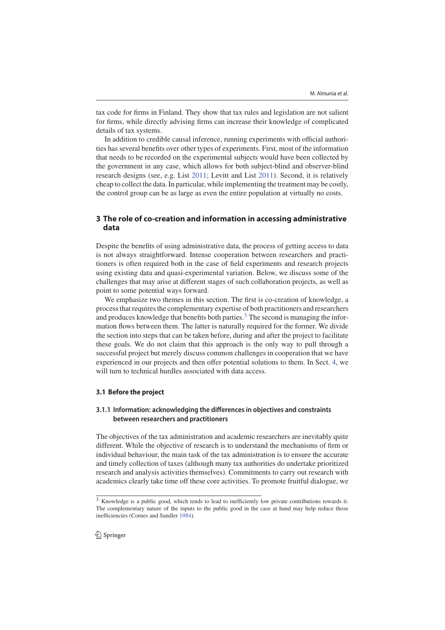tax code for firms in Finland. They show that tax rules and legislation are not salient for firms, while directly advising firms can increase their knowledge of complicated details of tax systems.

In addition to credible causal inference, running experiments with official authorities has several benefits over other types of experiments. First, most of the information that needs to be recorded on the experimental subjects would have been collected by the government in any case, which allows for both subject-blind and observer-blind research designs (see, e.g. List 2011; Levitt and List 2011). Second, it is relatively cheap to collect the data. In particular, while implementing the treatment may be costly, the control group can be as large as even the entire population at virtually no costs.

## **3 The role of co-creation and information in accessing administrative data**

Despite the benefits of using administrative data, the process of getting access to data is not always straightforward. Intense cooperation between researchers and practitioners is often required both in the case of field experiments and research projects using existing data and quasi-experimental variation. Below, we discuss some of the challenges that may arise at different stages of such collaboration projects, as well as point to some potential ways forward.

We emphasize two themes in this section. The first is co-creation of knowledge, a process that requires the complementary expertise of both practitioners and researchers and produces knowledge that benefits both parties.<sup>3</sup> The second is managing the information flows between them. The latter is naturally required for the former. We divide the section into steps that can be taken before, during and after the project to facilitate these goals. We do not claim that this approach is the only way to pull through a successful project but merely discuss common challenges in cooperation that we have experienced in our projects and then offer potential solutions to them. In Sect. 4, we will turn to technical hurdles associated with data access.

#### **3.1 Before the project**

#### **3.1.1 Information: acknowledging the differences in objectives and constraints between researchers and practitioners**

The objectives of the tax administration and academic researchers are inevitably quite different. While the objective of research is to understand the mechanisms of firm or individual behaviour, the main task of the tax administration is to ensure the accurate and timely collection of taxes (although many tax authorities do undertake prioritized research and analysis activities themselves). Commitments to carry out research with academics clearly take time off these core activities. To promote fruitful dialogue, we

<sup>3</sup> Knowledge is a public good, which tends to lead to inefficiently low private contributions towards it. The complementary nature of the inputs to the public good in the case at hand may help reduce those inefficiencies (Cornes and Sandler 1984).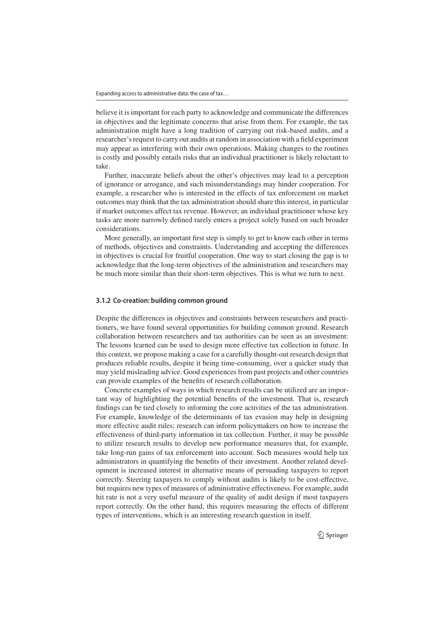believe it is important for each party to acknowledge and communicate the differences in objectives and the legitimate concerns that arise from them. For example, the tax administration might have a long tradition of carrying out risk-based audits, and a researcher's request to carry out audits at random in association with a field experiment may appear as interfering with their own operations. Making changes to the routines is costly and possibly entails risks that an individual practitioner is likely reluctant to take.

Further, inaccurate beliefs about the other's objectives may lead to a perception of ignorance or arrogance, and such misunderstandings may hinder cooperation. For example, a researcher who is interested in the effects of tax enforcement on market outcomes may think that the tax administration should share this interest, in particular if market outcomes affect tax revenue. However, an individual practitioner whose key tasks are more narrowly defined rarely enters a project solely based on such broader considerations.

More generally, an important first step is simply to get to know each other in terms of methods, objectives and constraints. Understanding and accepting the differences in objectives is crucial for fruitful cooperation. One way to start closing the gap is to acknowledge that the long-term objectives of the administration and researchers may be much more similar than their short-term objectives. This is what we turn to next.

#### **3.1.2 Co-creation: building common ground**

Despite the differences in objectives and constraints between researchers and practitioners, we have found several opportunities for building common ground. Research collaboration between researchers and tax authorities can be seen as an investment: The lessons learned can be used to design more effective tax collection in future. In this context, we propose making a case for a carefully thought-out research design that produces reliable results, despite it being time-consuming, over a quicker study that may yield misleading advice. Good experiences from past projects and other countries can provide examples of the benefits of research collaboration.

Concrete examples of ways in which research results can be utilized are an important way of highlighting the potential benefits of the investment. That is, research findings can be tied closely to informing the core activities of the tax administration. For example, knowledge of the determinants of tax evasion may help in designing more effective audit rules; research can inform policymakers on how to increase the effectiveness of third-party information in tax collection. Further, it may be possible to utilize research results to develop new performance measures that, for example, take long-run gains of tax enforcement into account. Such measures would help tax administrators in quantifying the benefits of their investment. Another related development is increased interest in alternative means of persuading taxpayers to report correctly. Steering taxpayers to comply without audits is likely to be cost-effective, but requires new types of measures of administrative effectiveness. For example, audit hit rate is not a very useful measure of the quality of audit design if most taxpayers report correctly. On the other hand, this requires measuring the effects of different types of interventions, which is an interesting research question in itself.

 $\mathcal{D}$  Springer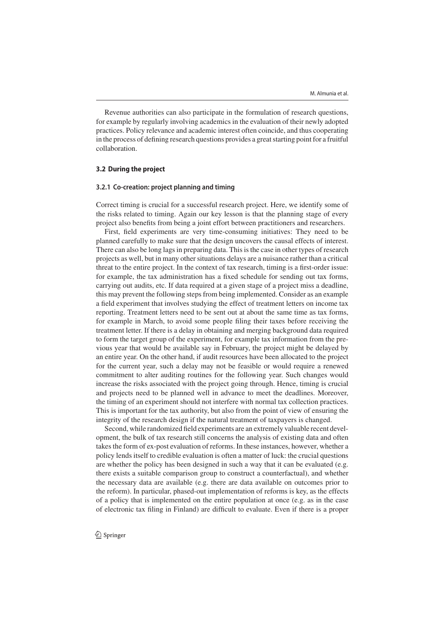Revenue authorities can also participate in the formulation of research questions, for example by regularly involving academics in the evaluation of their newly adopted practices. Policy relevance and academic interest often coincide, and thus cooperating in the process of defining research questions provides a great starting point for a fruitful collaboration.

#### **3.2 During the project**

#### **3.2.1 Co-creation: project planning and timing**

Correct timing is crucial for a successful research project. Here, we identify some of the risks related to timing. Again our key lesson is that the planning stage of every project also benefits from being a joint effort between practitioners and researchers.

First, field experiments are very time-consuming initiatives: They need to be planned carefully to make sure that the design uncovers the causal effects of interest. There can also be long lags in preparing data. This is the case in other types of research projects as well, but in many other situations delays are a nuisance rather than a critical threat to the entire project. In the context of tax research, timing is a first-order issue: for example, the tax administration has a fixed schedule for sending out tax forms, carrying out audits, etc. If data required at a given stage of a project miss a deadline, this may prevent the following steps from being implemented. Consider as an example a field experiment that involves studying the effect of treatment letters on income tax reporting. Treatment letters need to be sent out at about the same time as tax forms, for example in March, to avoid some people filing their taxes before receiving the treatment letter. If there is a delay in obtaining and merging background data required to form the target group of the experiment, for example tax information from the previous year that would be available say in February, the project might be delayed by an entire year. On the other hand, if audit resources have been allocated to the project for the current year, such a delay may not be feasible or would require a renewed commitment to alter auditing routines for the following year. Such changes would increase the risks associated with the project going through. Hence, timing is crucial and projects need to be planned well in advance to meet the deadlines. Moreover, the timing of an experiment should not interfere with normal tax collection practices. This is important for the tax authority, but also from the point of view of ensuring the integrity of the research design if the natural treatment of taxpayers is changed.

Second, while randomized field experiments are an extremely valuable recent development, the bulk of tax research still concerns the analysis of existing data and often takes the form of ex-post evaluation of reforms. In these instances, however, whether a policy lends itself to credible evaluation is often a matter of luck: the crucial questions are whether the policy has been designed in such a way that it can be evaluated (e.g. there exists a suitable comparison group to construct a counterfactual), and whether the necessary data are available (e.g. there are data available on outcomes prior to the reform). In particular, phased-out implementation of reforms is key, as the effects of a policy that is implemented on the entire population at once (e.g. as in the case of electronic tax filing in Finland) are difficult to evaluate. Even if there is a proper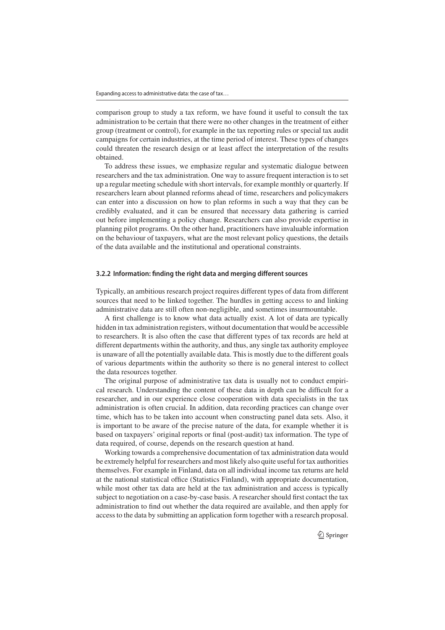comparison group to study a tax reform, we have found it useful to consult the tax administration to be certain that there were no other changes in the treatment of either group (treatment or control), for example in the tax reporting rules or special tax audit campaigns for certain industries, at the time period of interest. These types of changes could threaten the research design or at least affect the interpretation of the results obtained.

To address these issues, we emphasize regular and systematic dialogue between researchers and the tax administration. One way to assure frequent interaction is to set up a regular meeting schedule with short intervals, for example monthly or quarterly. If researchers learn about planned reforms ahead of time, researchers and policymakers can enter into a discussion on how to plan reforms in such a way that they can be credibly evaluated, and it can be ensured that necessary data gathering is carried out before implementing a policy change. Researchers can also provide expertise in planning pilot programs. On the other hand, practitioners have invaluable information on the behaviour of taxpayers, what are the most relevant policy questions, the details of the data available and the institutional and operational constraints.

#### **3.2.2 Information: finding the right data and merging different sources**

Typically, an ambitious research project requires different types of data from different sources that need to be linked together. The hurdles in getting access to and linking administrative data are still often non-negligible, and sometimes insurmountable.

A first challenge is to know what data actually exist. A lot of data are typically hidden in tax administration registers, without documentation that would be accessible to researchers. It is also often the case that different types of tax records are held at different departments within the authority, and thus, any single tax authority employee is unaware of all the potentially available data. This is mostly due to the different goals of various departments within the authority so there is no general interest to collect the data resources together.

The original purpose of administrative tax data is usually not to conduct empirical research. Understanding the content of these data in depth can be difficult for a researcher, and in our experience close cooperation with data specialists in the tax administration is often crucial. In addition, data recording practices can change over time, which has to be taken into account when constructing panel data sets. Also, it is important to be aware of the precise nature of the data, for example whether it is based on taxpayers' original reports or final (post-audit) tax information. The type of data required, of course, depends on the research question at hand.

Working towards a comprehensive documentation of tax administration data would be extremely helpful for researchers and most likely also quite useful for tax authorities themselves. For example in Finland, data on all individual income tax returns are held at the national statistical office (Statistics Finland), with appropriate documentation, while most other tax data are held at the tax administration and access is typically subject to negotiation on a case-by-case basis. A researcher should first contact the tax administration to find out whether the data required are available, and then apply for access to the data by submitting an application form together with a research proposal.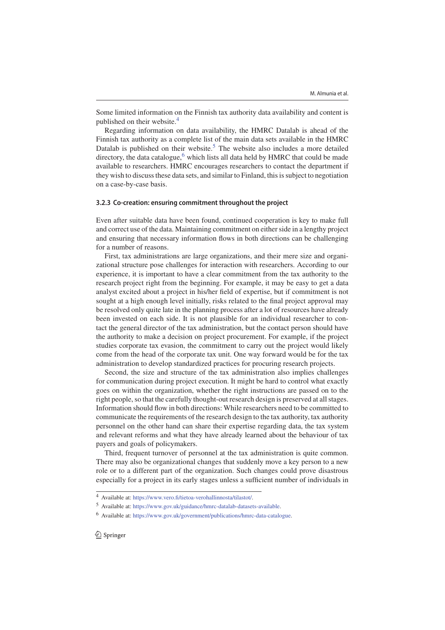Some limited information on the Finnish tax authority data availability and content is published on their website.<sup>4</sup>

Regarding information on data availability, the HMRC Datalab is ahead of the Finnish tax authority as a complete list of the main data sets available in the HMRC Datalab is published on their website.<sup>5</sup> The website also includes a more detailed directory, the data catalogue, $6$  which lists all data held by HMRC that could be made available to researchers. HMRC encourages researchers to contact the department if they wish to discuss these data sets, and similar to Finland, this is subject to negotiation on a case-by-case basis.

#### **3.2.3 Co-creation: ensuring commitment throughout the project**

Even after suitable data have been found, continued cooperation is key to make full and correct use of the data. Maintaining commitment on either side in a lengthy project and ensuring that necessary information flows in both directions can be challenging for a number of reasons.

First, tax administrations are large organizations, and their mere size and organizational structure pose challenges for interaction with researchers. According to our experience, it is important to have a clear commitment from the tax authority to the research project right from the beginning. For example, it may be easy to get a data analyst excited about a project in his/her field of expertise, but if commitment is not sought at a high enough level initially, risks related to the final project approval may be resolved only quite late in the planning process after a lot of resources have already been invested on each side. It is not plausible for an individual researcher to contact the general director of the tax administration, but the contact person should have the authority to make a decision on project procurement. For example, if the project studies corporate tax evasion, the commitment to carry out the project would likely come from the head of the corporate tax unit. One way forward would be for the tax administration to develop standardized practices for procuring research projects.

Second, the size and structure of the tax administration also implies challenges for communication during project execution. It might be hard to control what exactly goes on within the organization, whether the right instructions are passed on to the right people, so that the carefully thought-out research design is preserved at all stages. Information should flow in both directions: While researchers need to be committed to communicate the requirements of the research design to the tax authority, tax authority personnel on the other hand can share their expertise regarding data, the tax system and relevant reforms and what they have already learned about the behaviour of tax payers and goals of policymakers.

Third, frequent turnover of personnel at the tax administration is quite common. There may also be organizational changes that suddenly move a key person to a new role or to a different part of the organization. Such changes could prove disastrous especially for a project in its early stages unless a sufficient number of individuals in

<sup>4</sup> Available at: https://www.vero.fi/tietoa-verohallinnosta/tilastot/.

<sup>5</sup> Available at: https://www.gov.uk/guidance/hmrc-datalab-datasets-available.

<sup>6</sup> Available at: https://www.gov.uk/government/publications/hmrc-data-catalogue.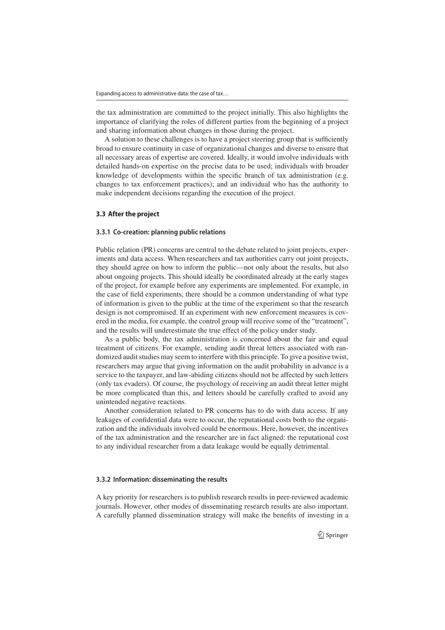the tax administration are committed to the project initially. This also highlights the importance of clarifying the roles of different parties from the beginning of a project and sharing information about changes in those during the project.

A solution to these challenges is to have a project steering group that is sufficiently broad to ensure continuity in case of organizational changes and diverse to ensure that all necessary areas of expertise are covered. Ideally, it would involve individuals with detailed hands-on expertise on the precise data to be used; individuals with broader knowledge of developments within the specific branch of tax administration (e.g. changes to tax enforcement practices); and an individual who has the authority to make independent decisions regarding the execution of the project.

#### **3.3 After the project**

#### **3.3.1 Co-creation: planning public relations**

Public relation (PR) concerns are central to the debate related to joint projects, experiments and data access. When researchers and tax authorities carry out joint projects, they should agree on how to inform the public—not only about the results, but also about ongoing projects. This should ideally be coordinated already at the early stages of the project, for example before any experiments are implemented. For example, in the case of field experiments, there should be a common understanding of what type of information is given to the public at the time of the experiment so that the research design is not compromised. If an experiment with new enforcement measures is covered in the media, for example, the control group will receive some of the "treatment", and the results will underestimate the true effect of the policy under study.

As a public body, the tax administration is concerned about the fair and equal treatment of citizens. For example, sending audit threat letters associated with randomized audit studies may seem to interfere with this principle. To give a positive twist, researchers may argue that giving information on the audit probability in advance is a service to the taxpayer, and law-abiding citizens should not be affected by such letters (only tax evaders). Of course, the psychology of receiving an audit threat letter might be more complicated than this, and letters should be carefully crafted to avoid any unintended negative reactions.

Another consideration related to PR concerns has to do with data access. If any leakages of confidential data were to occur, the reputational costs both to the organization and the individuals involved could be enormous. Here, however, the incentives of the tax administration and the researcher are in fact aligned: the reputational cost to any individual researcher from a data leakage would be equally detrimental.

#### **3.3.2 Information: disseminating the results**

A key priority for researchers is to publish research results in peer-reviewed academic journals. However, other modes of disseminating research results are also important. A carefully planned dissemination strategy will make the benefits of investing in a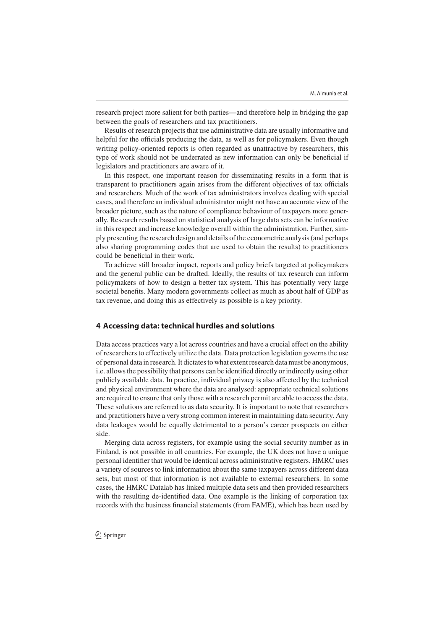research project more salient for both parties—and therefore help in bridging the gap between the goals of researchers and tax practitioners.

Results of research projects that use administrative data are usually informative and helpful for the officials producing the data, as well as for policymakers. Even though writing policy-oriented reports is often regarded as unattractive by researchers, this type of work should not be underrated as new information can only be beneficial if legislators and practitioners are aware of it.

In this respect, one important reason for disseminating results in a form that is transparent to practitioners again arises from the different objectives of tax officials and researchers. Much of the work of tax administrators involves dealing with special cases, and therefore an individual administrator might not have an accurate view of the broader picture, such as the nature of compliance behaviour of taxpayers more generally. Research results based on statistical analysis of large data sets can be informative in this respect and increase knowledge overall within the administration. Further, simply presenting the research design and details of the econometric analysis (and perhaps also sharing programming codes that are used to obtain the results) to practitioners could be beneficial in their work.

To achieve still broader impact, reports and policy briefs targeted at policymakers and the general public can be drafted. Ideally, the results of tax research can inform policymakers of how to design a better tax system. This has potentially very large societal benefits. Many modern governments collect as much as about half of GDP as tax revenue, and doing this as effectively as possible is a key priority.

#### **4 Accessing data: technical hurdles and solutions**

Data access practices vary a lot across countries and have a crucial effect on the ability of researchers to effectively utilize the data. Data protection legislation governs the use of personal data in research. It dictates to what extent research data must be anonymous, i.e. allows the possibility that persons can be identified directly or indirectly using other publicly available data. In practice, individual privacy is also affected by the technical and physical environment where the data are analysed: appropriate technical solutions are required to ensure that only those with a research permit are able to access the data. These solutions are referred to as data security. It is important to note that researchers and practitioners have a very strong common interest in maintaining data security. Any data leakages would be equally detrimental to a person's career prospects on either side.

Merging data across registers, for example using the social security number as in Finland, is not possible in all countries. For example, the UK does not have a unique personal identifier that would be identical across administrative registers. HMRC uses a variety of sources to link information about the same taxpayers across different data sets, but most of that information is not available to external researchers. In some cases, the HMRC Datalab has linked multiple data sets and then provided researchers with the resulting de-identified data. One example is the linking of corporation tax records with the business financial statements (from FAME), which has been used by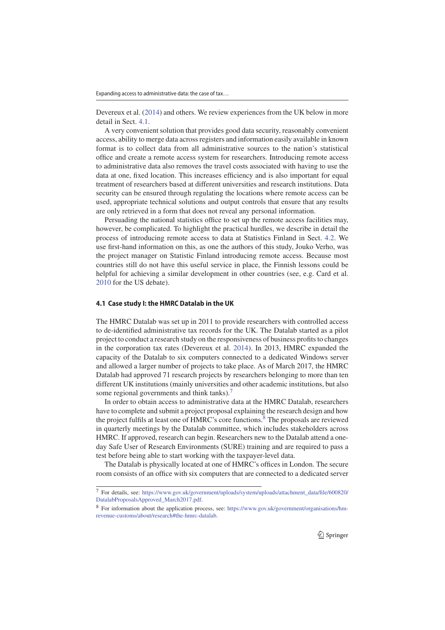Devereux et al. (2014) and others. We review experiences from the UK below in more detail in Sect. 4.1.

A very convenient solution that provides good data security, reasonably convenient access, ability to merge data across registers and information easily available in known format is to collect data from all administrative sources to the nation's statistical office and create a remote access system for researchers. Introducing remote access to administrative data also removes the travel costs associated with having to use the data at one, fixed location. This increases efficiency and is also important for equal treatment of researchers based at different universities and research institutions. Data security can be ensured through regulating the locations where remote access can be used, appropriate technical solutions and output controls that ensure that any results are only retrieved in a form that does not reveal any personal information.

Persuading the national statistics office to set up the remote access facilities may, however, be complicated. To highlight the practical hurdles, we describe in detail the process of introducing remote access to data at Statistics Finland in Sect. 4.2. We use first-hand information on this, as one the authors of this study, Jouko Verho, was the project manager on Statistic Finland introducing remote access. Because most countries still do not have this useful service in place, the Finnish lessons could be helpful for achieving a similar development in other countries (see, e.g. Card et al. 2010 for the US debate).

#### **4.1 Case study I: the HMRC Datalab in the UK**

The HMRC Datalab was set up in 2011 to provide researchers with controlled access to de-identified administrative tax records for the UK. The Datalab started as a pilot project to conduct a research study on the responsiveness of business profits to changes in the corporation tax rates (Devereux et al. 2014). In 2013, HMRC expanded the capacity of the Datalab to six computers connected to a dedicated Windows server and allowed a larger number of projects to take place. As of March 2017, the HMRC Datalab had approved 71 research projects by researchers belonging to more than ten different UK institutions (mainly universities and other academic institutions, but also some regional governments and think tanks).<sup>7</sup>

In order to obtain access to administrative data at the HMRC Datalab, researchers have to complete and submit a project proposal explaining the research design and how the project fulfils at least one of HMRC's core functions.<sup>8</sup> The proposals are reviewed in quarterly meetings by the Datalab committee, which includes stakeholders across HMRC. If approved, research can begin. Researchers new to the Datalab attend a oneday Safe User of Research Environments (SURE) training and are required to pass a test before being able to start working with the taxpayer-level data.

The Datalab is physically located at one of HMRC's offices in London. The secure room consists of an office with six computers that are connected to a dedicated server

<sup>7</sup> For details, see: https://www.gov.uk/government/uploads/system/uploads/attachment\_data/file/600820/ DatalabProposalsApproved\_March2017.pdf.

<sup>8</sup> For information about the application process, see: https://www.gov.uk/government/organisations/hmrevenue-customs/about/research#the-hmrc-datalab.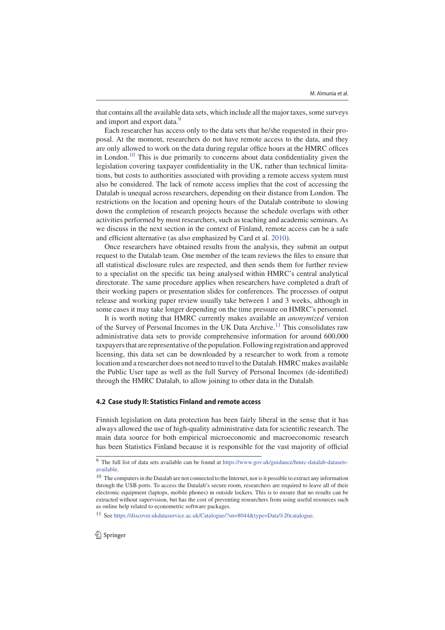that contains all the available data sets, which include all the major taxes, some surveys and import and export data.<sup>9</sup>

Each researcher has access only to the data sets that he/she requested in their proposal. At the moment, researchers do not have remote access to the data, and they are only allowed to work on the data during regular office hours at the HMRC offices in London.<sup>10</sup> This is due primarily to concerns about data confidentiality given the legislation covering taxpayer confidentiality in the UK, rather than technical limitations, but costs to authorities associated with providing a remote access system must also be considered. The lack of remote access implies that the cost of accessing the Datalab is unequal across researchers, depending on their distance from London. The restrictions on the location and opening hours of the Datalab contribute to slowing down the completion of research projects because the schedule overlaps with other activities performed by most researchers, such as teaching and academic seminars. As we discuss in the next section in the context of Finland, remote access can be a safe and efficient alternative (as also emphasized by Card et al. 2010).

Once researchers have obtained results from the analysis, they submit an output request to the Datalab team. One member of the team reviews the files to ensure that all statistical disclosure rules are respected, and then sends them for further review to a specialist on the specific tax being analysed within HMRC's central analytical directorate. The same procedure applies when researchers have completed a draft of their working papers or presentation slides for conferences. The processes of output release and working paper review usually take between 1 and 3 weeks, although in some cases it may take longer depending on the time pressure on HMRC's personnel.

It is worth noting that HMRC currently makes available an *anonymized* version of the Survey of Personal Incomes in the UK Data Archive.<sup>11</sup> This consolidates raw administrative data sets to provide comprehensive information for around 600,000 taxpayers that are representative of the population. Following registration and approved licensing, this data set can be downloaded by a researcher to work from a remote location and a researcher does not need to travel to the Datalab. HMRC makes available the Public User tape as well as the full Survey of Personal Incomes (de-identified) through the HMRC Datalab, to allow joining to other data in the Datalab.

#### **4.2 Case study II: Statistics Finland and remote access**

Finnish legislation on data protection has been fairly liberal in the sense that it has always allowed the use of high-quality administrative data for scientific research. The main data source for both empirical microeconomic and macroeconomic research has been Statistics Finland because it is responsible for the vast majority of official

<sup>11</sup> See https://discover.ukdataservice.ac.uk/Catalogue/?sn=8044&type=Data%20catalogue.

<sup>9</sup> The full list of data sets available can be found at https://www.gov.uk/guidance/hmrc-datalab-datasetsavailable.

 $10$  The computers in the Datalab are not connected to the Internet, nor is it possible to extract any information through the USB ports. To access the Datalab's secure room, researchers are required to leave all of their electronic equipment (laptops, mobile phones) in outside lockers. This is to ensure that no results can be extracted without supervision, but has the cost of preventing researchers from using useful resources such as online help related to econometric software packages.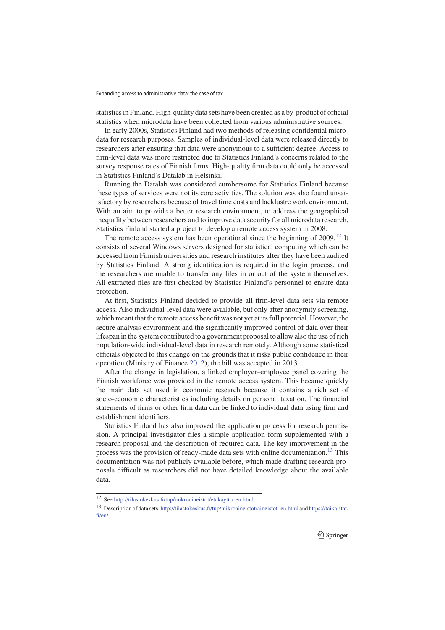statistics in Finland. High-quality data sets have been created as a by-product of official statistics when microdata have been collected from various administrative sources.

In early 2000s, Statistics Finland had two methods of releasing confidential microdata for research purposes. Samples of individual-level data were released directly to researchers after ensuring that data were anonymous to a sufficient degree. Access to firm-level data was more restricted due to Statistics Finland's concerns related to the survey response rates of Finnish firms. High-quality firm data could only be accessed in Statistics Finland's Datalab in Helsinki.

Running the Datalab was considered cumbersome for Statistics Finland because these types of services were not its core activities. The solution was also found unsatisfactory by researchers because of travel time costs and lacklustre work environment. With an aim to provide a better research environment, to address the geographical inequality between researchers and to improve data security for all microdata research, Statistics Finland started a project to develop a remote access system in 2008.

The remote access system has been operational since the beginning of  $2009$ .<sup>12</sup> It consists of several Windows servers designed for statistical computing which can be accessed from Finnish universities and research institutes after they have been audited by Statistics Finland. A strong identification is required in the login process, and the researchers are unable to transfer any files in or out of the system themselves. All extracted files are first checked by Statistics Finland's personnel to ensure data protection.

At first, Statistics Finland decided to provide all firm-level data sets via remote access. Also individual-level data were available, but only after anonymity screening, which meant that the remote access benefit was not yet at its full potential. However, the secure analysis environment and the significantly improved control of data over their lifespan in the system contributed to a government proposal to allow also the use of rich population-wide individual-level data in research remotely. Although some statistical officials objected to this change on the grounds that it risks public confidence in their operation (Ministry of Finance 2012), the bill was accepted in 2013.

After the change in legislation, a linked employer–employee panel covering the Finnish workforce was provided in the remote access system. This became quickly the main data set used in economic research because it contains a rich set of socio-economic characteristics including details on personal taxation. The financial statements of firms or other firm data can be linked to individual data using firm and establishment identifiers.

Statistics Finland has also improved the application process for research permission. A principal investigator files a simple application form supplemented with a research proposal and the description of required data. The key improvement in the process was the provision of ready-made data sets with online documentation.<sup>13</sup> This documentation was not publicly available before, which made drafting research proposals difficult as researchers did not have detailed knowledge about the available data.

<sup>12</sup> See http://tilastokeskus.fi/tup/mikroaineistot/etakaytto\_en.html.

<sup>13</sup> Description of data sets: http://tilastokeskus.fi/tup/mikroaineistot/aineistot\_en.html and https://taika.stat. fi/en/.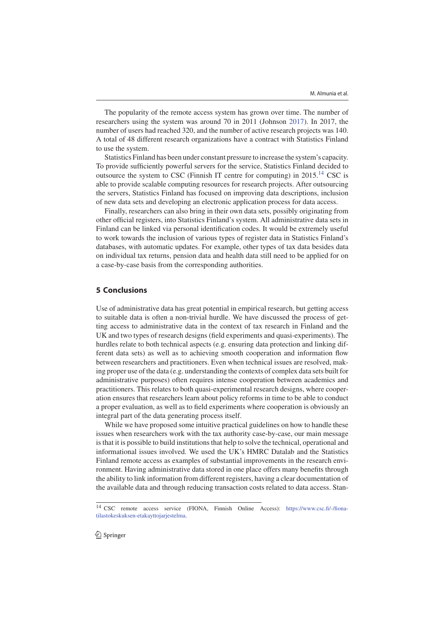The popularity of the remote access system has grown over time. The number of researchers using the system was around 70 in 2011 (Johnson 2017). In 2017, the number of users had reached 320, and the number of active research projects was 140. A total of 48 different research organizations have a contract with Statistics Finland to use the system.

Statistics Finland has been under constant pressure to increase the system's capacity. To provide sufficiently powerful servers for the service, Statistics Finland decided to outsource the system to CSC (Finnish IT centre for computing) in 2015.<sup>14</sup> CSC is able to provide scalable computing resources for research projects. After outsourcing the servers, Statistics Finland has focused on improving data descriptions, inclusion of new data sets and developing an electronic application process for data access.

Finally, researchers can also bring in their own data sets, possibly originating from other official registers, into Statistics Finland's system. All administrative data sets in Finland can be linked via personal identification codes. It would be extremely useful to work towards the inclusion of various types of register data in Statistics Finland's databases, with automatic updates. For example, other types of tax data besides data on individual tax returns, pension data and health data still need to be applied for on a case-by-case basis from the corresponding authorities.

## **5 Conclusions**

Use of administrative data has great potential in empirical research, but getting access to suitable data is often a non-trivial hurdle. We have discussed the process of getting access to administrative data in the context of tax research in Finland and the UK and two types of research designs (field experiments and quasi-experiments). The hurdles relate to both technical aspects (e.g. ensuring data protection and linking different data sets) as well as to achieving smooth cooperation and information flow between researchers and practitioners. Even when technical issues are resolved, making proper use of the data (e.g. understanding the contexts of complex data sets built for administrative purposes) often requires intense cooperation between academics and practitioners. This relates to both quasi-experimental research designs, where cooperation ensures that researchers learn about policy reforms in time to be able to conduct a proper evaluation, as well as to field experiments where cooperation is obviously an integral part of the data generating process itself.

While we have proposed some intuitive practical guidelines on how to handle these issues when researchers work with the tax authority case-by-case, our main message is that it is possible to build institutions that help to solve the technical, operational and informational issues involved. We used the UK's HMRC Datalab and the Statistics Finland remote access as examples of substantial improvements in the research environment. Having administrative data stored in one place offers many benefits through the ability to link information from different registers, having a clear documentation of the available data and through reducing transaction costs related to data access. Stan-

<sup>14</sup> CSC remote access service (FIONA, Finnish Online Access): https://www.csc.fi/-/fionatilastokeskuksen-etakayttojarjestelma.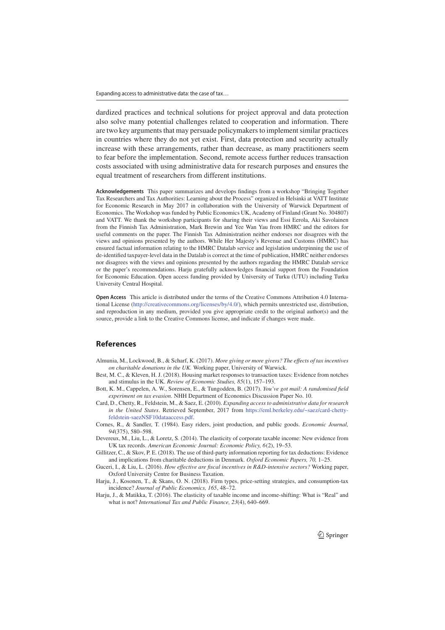dardized practices and technical solutions for project approval and data protection also solve many potential challenges related to cooperation and information. There are two key arguments that may persuade policymakers to implement similar practices in countries where they do not yet exist. First, data protection and security actually increase with these arrangements, rather than decrease, as many practitioners seem to fear before the implementation. Second, remote access further reduces transaction costs associated with using administrative data for research purposes and ensures the equal treatment of researchers from different institutions.

**Acknowledgements** This paper summarizes and develops findings from a workshop "Bringing Together Tax Researchers and Tax Authorities: Learning about the Process" organized in Helsinki at VATT Institute for Economic Research in May 2017 in collaboration with the University of Warwick Department of Economics. The Workshop was funded by Public Economics UK, Academy of Finland (Grant No. 304807) and VATT. We thank the workshop participants for sharing their views and Essi Eerola, Aki Savolainen from the Finnish Tax Administration, Mark Brewin and Yee Wan Yau from HMRC and the editors for useful comments on the paper. The Finnish Tax Administration neither endorses nor disagrees with the views and opinions presented by the authors. While Her Majesty's Revenue and Customs (HMRC) has ensured factual information relating to the HMRC Datalab service and legislation underpinning the use of de-identified taxpayer-level data in the Datalab is correct at the time of publication, HMRC neither endorses nor disagrees with the views and opinions presented by the authors regarding the HMRC Datalab service or the paper's recommendations. Harju gratefully acknowledges financial support from the Foundation for Economic Education. Open access funding provided by University of Turku (UTU) including Turku University Central Hospital.

**Open Access** This article is distributed under the terms of the Creative Commons Attribution 4.0 International License (http://creativecommons.org/licenses/by/4.0/), which permits unrestricted use, distribution, and reproduction in any medium, provided you give appropriate credit to the original author(s) and the source, provide a link to the Creative Commons license, and indicate if changes were made.

#### **References**

- Almunia, M., Lockwood, B., & Scharf, K. (2017). *More giving or more givers? The effects of tax incentives on charitable donations in the UK.* Working paper, University of Warwick.
- Best, M. C., & Kleven, H. J. (2018). Housing market responses to transaction taxes: Evidence from notches and stimulus in the UK. *Review of Economic Studies, 85*(1), 157–193.
- Bott, K. M., Cappelen, A. W., Sorensen, E., & Tungodden, B. (2017). *You've got mail: A randomised field experiment on tax evasion*. NHH Department of Economics Discussion Paper No. 10.
- Card, D., Chetty, R., Feldstein, M., & Saez, E. (2010). *Expanding access to administrative data for research in the United States*. Retrieved September, 2017 from https://eml.berkeley.edu/~saez/card-chettyfeldstein-saezNSF10dataaccess.pdf.
- Cornes, R., & Sandler, T. (1984). Easy riders, joint production, and public goods. *Economic Journal, 94*(375), 580–598.
- Devereux, M., Liu, L., & Loretz, S. (2014). The elasticity of corporate taxable income: New evidence from UK tax records. *American Economic Journal: Economic Policy, 6*(2), 19–53.
- Gillitzer, C., & Skov, P. E. (2018). The use of third-party information reporting for tax deductions: Evidence and implications from charitable deductions in Denmark. *Oxford Economic Papers, 70,* 1–25.
- Guceri, I., & Liu, L. (2016). *How effective are fiscal incentives in R&D*-*intensive sectors?* Working paper, Oxford University Centre for Business Taxation.
- Harju, J., Kosonen, T., & Skans, O. N. (2018). Firm types, price-setting strategies, and consumption-tax incidence? *Journal of Public Economics, 165*, 48–72.
- Harju, J., & Matikka, T. (2016). The elasticity of taxable income and income-shifting: What is "Real" and what is not? *International Tax and Public Finance, 23*(4), 640–669.